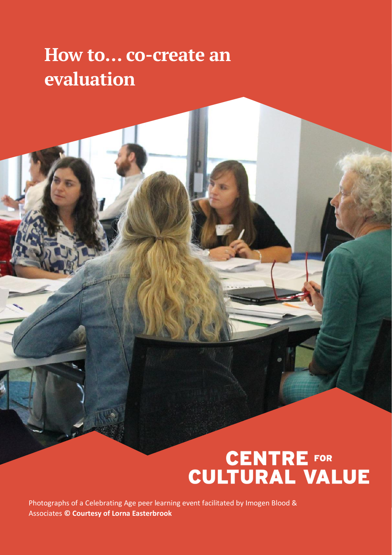# **How to… co-create an evaluation**

Photographs of a Celebrating Age peer learning event facilitated by Imogen Blood & Associates **© Courtesy of Lorna Easterbrook**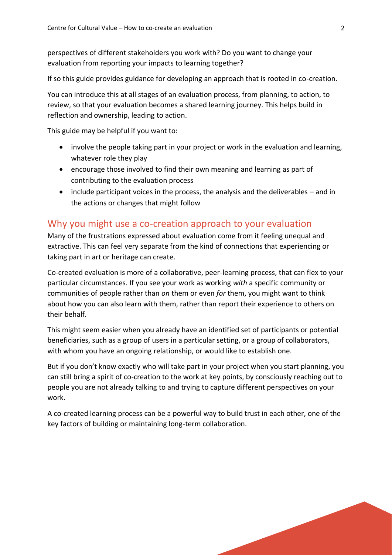perspectives of different stakeholders you work with? Do you want to change your evaluation from reporting your impacts to learning together?

If so this guide provides guidance for developing an approach that is rooted in co-creation.

You can introduce this at all stages of an evaluation process, from planning, to action, to review, so that your evaluation becomes a shared learning journey. This helps build in reflection and ownership, leading to action.

This guide may be helpful if you want to:

- involve the people taking part in your project or work in the evaluation and learning, whatever role they play
- encourage those involved to find their own meaning and learning as part of contributing to the evaluation process
- include participant voices in the process, the analysis and the deliverables and in the actions or changes that might follow

#### Why you might use a co-creation approach to your evaluation

Many of the frustrations expressed about evaluation come from it feeling unequal and extractive. This can feel very separate from the kind of connections that experiencing or taking part in art or heritage can create.

Co-created evaluation is more of a collaborative, peer-learning process, that can flex to your particular circumstances. If you see your work as working *with* a specific community or communities of people rather than *on* them or even *for* them, you might want to think about how you can also learn with them, rather than report their experience to others on their behalf.

This might seem easier when you already have an identified set of participants or potential beneficiaries, such as a group of users in a particular setting, or a group of collaborators, with whom you have an ongoing relationship, or would like to establish one.

But if you don't know exactly who will take part in your project when you start planning, you can still bring a spirit of co-creation to the work at key points, by consciously reaching out to people you are not already talking to and trying to capture different perspectives on your work.

A co-created learning process can be a powerful way to build trust in each other, one of the key factors of building or maintaining long-term collaboration.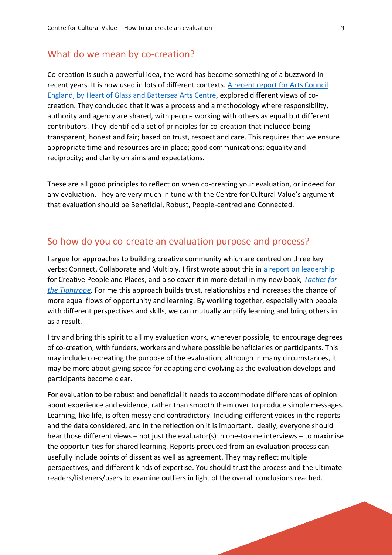#### What do we mean by co-creation?

Co-creation is such a powerful idea, the word has become something of a buzzword in recent years. It is now used in lots of different contexts. [A recent report for Arts Council](https://www.creativepeopleplaces.org.uk/our-learning/considering-co-creation)  [England, by Heart of Glass and Battersea Arts Centre,](https://www.creativepeopleplaces.org.uk/our-learning/considering-co-creation) explored different views of cocreation. They concluded that it was a process and a methodology where responsibility, authority and agency are shared, with people working with others as equal but different contributors. They identified a set of principles for co-creation that included being transparent, honest and fair; based on trust, respect and care. This requires that we ensure appropriate time and resources are in place; good communications; equality and reciprocity; and clarity on aims and expectations.

These are all good principles to reflect on when co-creating your evaluation, or indeed for any evaluation. They are very much in tune with the Centre for Cultural Value's argument that evaluation should be Beneficial, Robust, People-centred and Connected.

#### So how do you co-create an evaluation purpose and process?

I argue for approaches to building creative community which are centred on three key verbs: Connect, Collaborate and Multiply. I first wrote about this in [a report on leadership](https://www.creativepeopleplaces.org.uk/our-learning/multiplying-leadership-creative-communities) for Creative People and Places, and also cover it in more detail in my new book, *[Tactics for](https://futureartscentres.org.uk/future-arts-centres-publishes-its-first-book/)  [the Tightrope.](https://futureartscentres.org.uk/future-arts-centres-publishes-its-first-book/)* For me this approach builds trust, relationships and increases the chance of more equal flows of opportunity and learning. By working together, especially with people with different perspectives and skills, we can mutually amplify learning and bring others in as a result.

I try and bring this spirit to all my evaluation work, wherever possible, to encourage degrees of co-creation, with funders, workers and where possible beneficiaries or participants. This may include co-creating the purpose of the evaluation, although in many circumstances, it may be more about giving space for adapting and evolving as the evaluation develops and participants become clear.

For evaluation to be robust and beneficial it needs to accommodate differences of opinion about experience and evidence, rather than smooth them over to produce simple messages. Learning, like life, is often messy and contradictory. Including different voices in the reports and the data considered, and in the reflection on it is important. Ideally, everyone should hear those different views – not just the evaluator(s) in one-to-one interviews – to maximise the opportunities for shared learning. Reports produced from an evaluation process can usefully include points of dissent as well as agreement. They may reflect multiple perspectives, and different kinds of expertise. You should trust the process and the ultimate readers/listeners/users to examine outliers in light of the overall conclusions reached.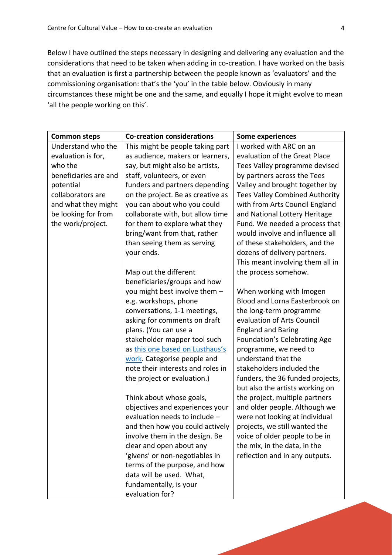Below I have outlined the steps necessary in designing and delivering any evaluation and the considerations that need to be taken when adding in co-creation. I have worked on the basis that an evaluation is first a partnership between the people known as 'evaluators' and the commissioning organisation: that's the 'you' in the table below. Obviously in many circumstances these might be one and the same, and equally I hope it might evolve to mean 'all the people working on this'.

| <b>Common steps</b>   | <b>Co-creation considerations</b> | <b>Some experiences</b>               |
|-----------------------|-----------------------------------|---------------------------------------|
| Understand who the    | This might be people taking part  | I worked with ARC on an               |
| evaluation is for,    | as audience, makers or learners,  | evaluation of the Great Place         |
| who the               | say, but might also be artists,   | Tees Valley programme devised         |
| beneficiaries are and | staff, volunteers, or even        | by partners across the Tees           |
| potential             | funders and partners depending    | Valley and brought together by        |
| collaborators are     | on the project. Be as creative as | <b>Tees Valley Combined Authority</b> |
| and what they might   | you can about who you could       | with from Arts Council England        |
| be looking for from   | collaborate with, but allow time  | and National Lottery Heritage         |
| the work/project.     | for them to explore what they     | Fund. We needed a process that        |
|                       | bring/want from that, rather      | would involve and influence all       |
|                       | than seeing them as serving       | of these stakeholders, and the        |
|                       | your ends.                        | dozens of delivery partners.          |
|                       |                                   | This meant involving them all in      |
|                       | Map out the different             | the process somehow.                  |
|                       | beneficiaries/groups and how      |                                       |
|                       | you might best involve them -     | When working with Imogen              |
|                       | e.g. workshops, phone             | Blood and Lorna Easterbrook on        |
|                       | conversations, 1-1 meetings,      | the long-term programme               |
|                       | asking for comments on draft      | evaluation of Arts Council            |
|                       | plans. (You can use a             | <b>England and Baring</b>             |
|                       | stakeholder mapper tool such      | Foundation's Celebrating Age          |
|                       | as this one based on Lusthaus's   | programme, we need to                 |
|                       | work. Categorise people and       | understand that the                   |
|                       | note their interests and roles in | stakeholders included the             |
|                       | the project or evaluation.)       | funders, the 36 funded projects,      |
|                       |                                   | but also the artists working on       |
|                       | Think about whose goals,          | the project, multiple partners        |
|                       | objectives and experiences your   | and older people. Although we         |
|                       | evaluation needs to include -     | were not looking at individual        |
|                       | and then how you could actively   | projects, we still wanted the         |
|                       | involve them in the design. Be    | voice of older people to be in        |
|                       | clear and open about any          | the mix, in the data, in the          |
|                       | 'givens' or non-negotiables in    | reflection and in any outputs.        |
|                       | terms of the purpose, and how     |                                       |
|                       | data will be used. What,          |                                       |
|                       | fundamentally, is your            |                                       |
|                       | evaluation for?                   |                                       |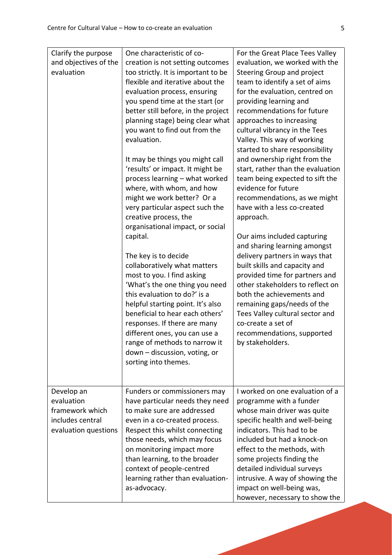| Clarify the purpose<br>and objectives of the<br>evaluation                              | One characteristic of co-<br>creation is not setting outcomes<br>too strictly. It is important to be<br>flexible and iterative about the<br>evaluation process, ensuring<br>you spend time at the start (or<br>better still before, in the project<br>planning stage) being clear what<br>you want to find out from the<br>evaluation.<br>It may be things you might call               | For the Great Place Tees Valley<br>evaluation, we worked with the<br>Steering Group and project<br>team to identify a set of aims<br>for the evaluation, centred on<br>providing learning and<br>recommendations for future<br>approaches to increasing<br>cultural vibrancy in the Tees<br>Valley. This way of working<br>started to share responsibility<br>and ownership right from the |
|-----------------------------------------------------------------------------------------|-----------------------------------------------------------------------------------------------------------------------------------------------------------------------------------------------------------------------------------------------------------------------------------------------------------------------------------------------------------------------------------------|--------------------------------------------------------------------------------------------------------------------------------------------------------------------------------------------------------------------------------------------------------------------------------------------------------------------------------------------------------------------------------------------|
|                                                                                         | 'results' or impact. It might be<br>process learning - what worked<br>where, with whom, and how<br>might we work better? Or a<br>very particular aspect such the<br>creative process, the<br>organisational impact, or social<br>capital.                                                                                                                                               | start, rather than the evaluation<br>team being expected to sift the<br>evidence for future<br>recommendations, as we might<br>have with a less co-created<br>approach.<br>Our aims included capturing                                                                                                                                                                                     |
|                                                                                         | The key is to decide<br>collaboratively what matters<br>most to you. I find asking<br>'What's the one thing you need<br>this evaluation to do?' is a<br>helpful starting point. It's also<br>beneficial to hear each others'<br>responses. If there are many<br>different ones, you can use a<br>range of methods to narrow it<br>down - discussion, voting, or<br>sorting into themes. | and sharing learning amongst<br>delivery partners in ways that<br>built skills and capacity and<br>provided time for partners and<br>other stakeholders to reflect on<br>both the achievements and<br>remaining gaps/needs of the<br>Tees Valley cultural sector and<br>co-create a set of<br>recommendations, supported<br>by stakeholders.                                               |
| Develop an<br>evaluation<br>framework which<br>includes central<br>evaluation questions | Funders or commissioners may<br>have particular needs they need<br>to make sure are addressed<br>even in a co-created process.<br>Respect this whilst connecting<br>those needs, which may focus<br>on monitoring impact more<br>than learning, to the broader<br>context of people-centred<br>learning rather than evaluation-<br>as-advocacy.                                         | I worked on one evaluation of a<br>programme with a funder<br>whose main driver was quite<br>specific health and well-being<br>indicators. This had to be<br>included but had a knock-on<br>effect to the methods, with<br>some projects finding the<br>detailed individual surveys<br>intrusive. A way of showing the<br>impact on well-being was,<br>however, necessary to show the      |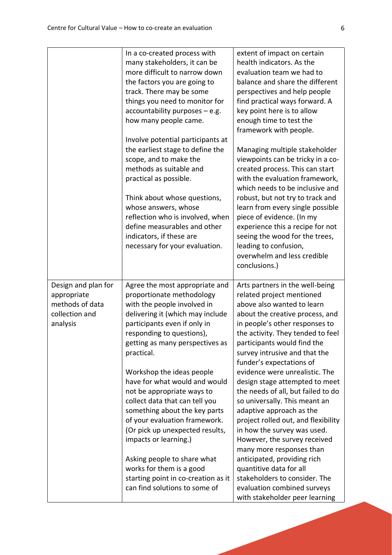|                                                                                     | In a co-created process with<br>many stakeholders, it can be<br>more difficult to narrow down<br>the factors you are going to<br>track. There may be some<br>things you need to monitor for<br>$accountability$ purposes $-$ e.g.<br>how many people came. | extent of impact on certain<br>health indicators. As the<br>evaluation team we had to<br>balance and share the different<br>perspectives and help people<br>find practical ways forward. A<br>key point here is to allow<br>enough time to test the<br>framework with people.                         |
|-------------------------------------------------------------------------------------|------------------------------------------------------------------------------------------------------------------------------------------------------------------------------------------------------------------------------------------------------------|-------------------------------------------------------------------------------------------------------------------------------------------------------------------------------------------------------------------------------------------------------------------------------------------------------|
|                                                                                     | Involve potential participants at<br>the earliest stage to define the<br>scope, and to make the<br>methods as suitable and<br>practical as possible.                                                                                                       | Managing multiple stakeholder<br>viewpoints can be tricky in a co-<br>created process. This can start<br>with the evaluation framework,<br>which needs to be inclusive and                                                                                                                            |
|                                                                                     | Think about whose questions,<br>whose answers, whose<br>reflection who is involved, when<br>define measurables and other<br>indicators, if these are<br>necessary for your evaluation.                                                                     | robust, but not try to track and<br>learn from every single possible<br>piece of evidence. (In my<br>experience this a recipe for not<br>seeing the wood for the trees,<br>leading to confusion,<br>overwhelm and less credible<br>conclusions.)                                                      |
| Design and plan for<br>appropriate<br>methods of data<br>collection and<br>analysis | Agree the most appropriate and<br>proportionate methodology<br>with the people involved in<br>delivering it (which may include<br>participants even if only in<br>responding to questions),<br>getting as many perspectives as<br>practical.               | Arts partners in the well-being<br>related project mentioned<br>above also wanted to learn<br>about the creative process, and<br>in people's other responses to<br>the activity. They tended to feel<br>participants would find the<br>survey intrusive and that the<br>funder's expectations of      |
|                                                                                     | Workshop the ideas people<br>have for what would and would<br>not be appropriate ways to<br>collect data that can tell you<br>something about the key parts<br>of your evaluation framework.<br>(Or pick up unexpected results,<br>impacts or learning.)   | evidence were unrealistic. The<br>design stage attempted to meet<br>the needs of all, but failed to do<br>so universally. This meant an<br>adaptive approach as the<br>project rolled out, and flexibility<br>in how the survey was used.<br>However, the survey received<br>many more responses than |
|                                                                                     | Asking people to share what<br>works for them is a good<br>starting point in co-creation as it<br>can find solutions to some of                                                                                                                            | anticipated, providing rich<br>quantitive data for all<br>stakeholders to consider. The<br>evaluation combined surveys<br>with stakeholder peer learning                                                                                                                                              |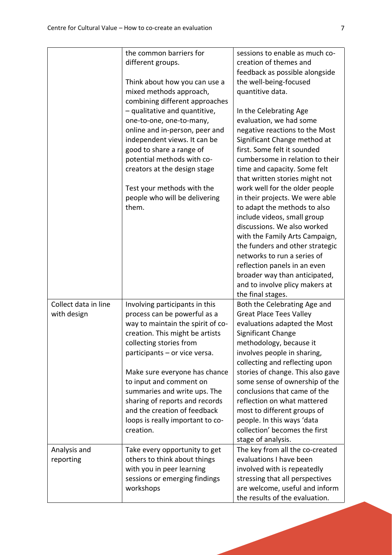|                                     | the common barriers for<br>different groups.<br>Think about how you can use a<br>mixed methods approach,<br>combining different approaches<br>- qualitative and quantitive,<br>one-to-one, one-to-many,<br>online and in-person, peer and<br>independent views. It can be<br>good to share a range of<br>potential methods with co-<br>creators at the design stage<br>Test your methods with the<br>people who will be delivering<br>them. | sessions to enable as much co-<br>creation of themes and<br>feedback as possible alongside<br>the well-being-focused<br>quantitive data.<br>In the Celebrating Age<br>evaluation, we had some<br>negative reactions to the Most<br>Significant Change method at<br>first. Some felt it sounded<br>cumbersome in relation to their<br>time and capacity. Some felt<br>that written stories might not<br>work well for the older people<br>in their projects. We were able<br>to adapt the methods to also<br>include videos, small group<br>discussions. We also worked<br>with the Family Arts Campaign,<br>the funders and other strategic<br>networks to run a series of<br>reflection panels in an even<br>broader way than anticipated,<br>and to involve plicy makers at<br>the final stages. |
|-------------------------------------|---------------------------------------------------------------------------------------------------------------------------------------------------------------------------------------------------------------------------------------------------------------------------------------------------------------------------------------------------------------------------------------------------------------------------------------------|----------------------------------------------------------------------------------------------------------------------------------------------------------------------------------------------------------------------------------------------------------------------------------------------------------------------------------------------------------------------------------------------------------------------------------------------------------------------------------------------------------------------------------------------------------------------------------------------------------------------------------------------------------------------------------------------------------------------------------------------------------------------------------------------------|
| Collect data in line<br>with design | Involving participants in this<br>process can be powerful as a<br>way to maintain the spirit of co-<br>creation. This might be artists<br>collecting stories from<br>participants - or vice versa.<br>Make sure everyone has chance<br>to input and comment on<br>summaries and write ups. The<br>sharing of reports and records<br>and the creation of feedback<br>loops is really important to co-<br>creation.                           | Both the Celebrating Age and<br><b>Great Place Tees Valley</b><br>evaluations adapted the Most<br>Significant Change<br>methodology, because it<br>involves people in sharing,<br>collecting and reflecting upon<br>stories of change. This also gave<br>some sense of ownership of the<br>conclusions that came of the<br>reflection on what mattered<br>most to different groups of<br>people. In this ways 'data<br>collection' becomes the first<br>stage of analysis.                                                                                                                                                                                                                                                                                                                         |
| Analysis and<br>reporting           | Take every opportunity to get<br>others to think about things<br>with you in peer learning<br>sessions or emerging findings<br>workshops                                                                                                                                                                                                                                                                                                    | The key from all the co-created<br>evaluations I have been<br>involved with is repeatedly<br>stressing that all perspectives<br>are welcome, useful and inform<br>the results of the evaluation.                                                                                                                                                                                                                                                                                                                                                                                                                                                                                                                                                                                                   |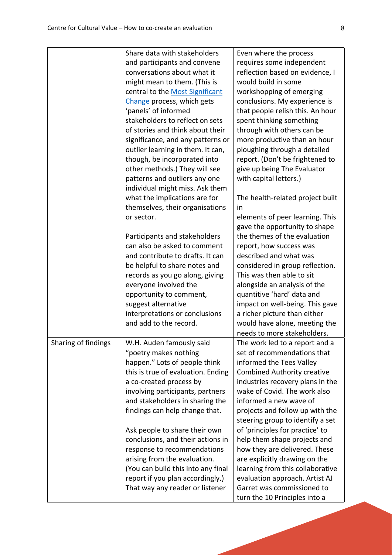|                     | Share data with stakeholders       | Even where the process             |
|---------------------|------------------------------------|------------------------------------|
|                     | and participants and convene       | requires some independent          |
|                     | conversations about what it        | reflection based on evidence, I    |
|                     | might mean to them. (This is       | would build in some                |
|                     | central to the Most Significant    | workshopping of emerging           |
|                     | Change process, which gets         | conclusions. My experience is      |
|                     | 'panels' of informed               | that people relish this. An hour   |
|                     | stakeholders to reflect on sets    | spent thinking something           |
|                     | of stories and think about their   | through with others can be         |
|                     | significance, and any patterns or  | more productive than an hour       |
|                     | outlier learning in them. It can,  | ploughing through a detailed       |
|                     | though, be incorporated into       | report. (Don't be frightened to    |
|                     | other methods.) They will see      | give up being The Evaluator        |
|                     | patterns and outliers any one      | with capital letters.)             |
|                     | individual might miss. Ask them    |                                    |
|                     | what the implications are for      | The health-related project built   |
|                     | themselves, their organisations    | in                                 |
|                     | or sector.                         | elements of peer learning. This    |
|                     |                                    | gave the opportunity to shape      |
|                     | Participants and stakeholders      | the themes of the evaluation       |
|                     | can also be asked to comment       | report, how success was            |
|                     | and contribute to drafts. It can   | described and what was             |
|                     | be helpful to share notes and      | considered in group reflection.    |
|                     | records as you go along, giving    | This was then able to sit          |
|                     | everyone involved the              | alongside an analysis of the       |
|                     | opportunity to comment,            | quantitive 'hard' data and         |
|                     | suggest alternative                | impact on well-being. This gave    |
|                     | interpretations or conclusions     | a richer picture than either       |
|                     | and add to the record.             | would have alone, meeting the      |
|                     |                                    | needs to more stakeholders.        |
| Sharing of findings | W.H. Auden famously said           | The work led to a report and a     |
|                     | "poetry makes nothing              | set of recommendations that        |
|                     | happen." Lots of people think      | informed the Tees Valley           |
|                     | this is true of evaluation. Ending | <b>Combined Authority creative</b> |
|                     | a co-created process by            | industries recovery plans in the   |
|                     | involving participants, partners   | wake of Covid. The work also       |
|                     | and stakeholders in sharing the    | informed a new wave of             |
|                     | findings can help change that.     | projects and follow up with the    |
|                     |                                    | steering group to identify a set   |
|                     | Ask people to share their own      | of 'principles for practice' to    |
|                     | conclusions, and their actions in  | help them shape projects and       |
|                     | response to recommendations        | how they are delivered. These      |
|                     | arising from the evaluation.       | are explicitly drawing on the      |
|                     | (You can build this into any final | learning from this collaborative   |
|                     | report if you plan accordingly.)   | evaluation approach. Artist AJ     |
|                     | That way any reader or listener    | Garret was commissioned to         |
|                     |                                    | turn the 10 Principles into a      |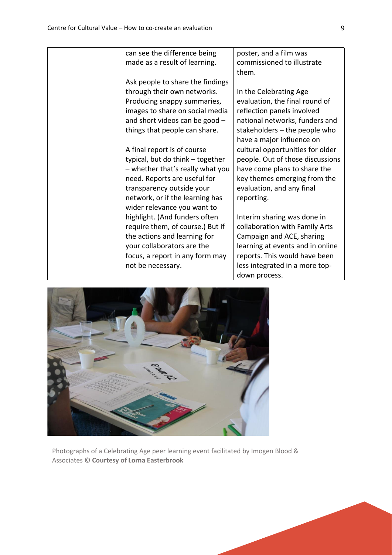can see the difference being made as a result of learning. Ask people to share the findings through their own networks. Producing snappy summaries, images to share on social media and short videos can be good – things that people can share. A final report is of course typical, but do think – together – whether that's really what you need. Reports are useful for transparency outside your network, or if the learning has wider relevance you want to highlight. (And funders often require them, of course.) But if the actions and learning for your collaborators are the focus, a report in any form may not be necessary. poster, and a film was commissioned to illustrate them. In the Celebrating Age reflection panels involved have a major influence on evaluation, and any final reporting.



Photographs of a Celebrating Age peer learning event facilitated by Imogen Blood & Associates **© Courtesy of Lorna Easterbrook**

evaluation, the final round of national networks, funders and stakeholders – the people who cultural opportunities for older people. Out of those discussions have come plans to share the key themes emerging from the

Interim sharing was done in collaboration with Family Arts Campaign and ACE, sharing learning at events and in online reports. This would have been less integrated in a more topdown process.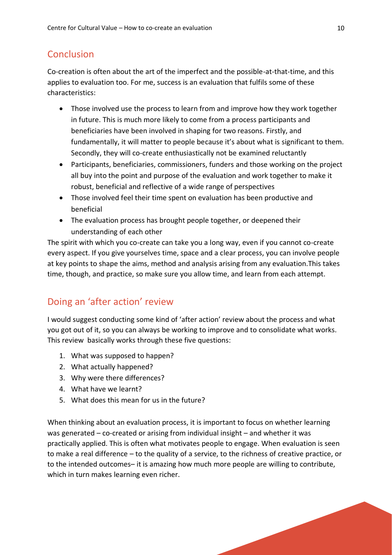#### Conclusion

Co-creation is often about the art of the imperfect and the possible-at-that-time, and this applies to evaluation too. For me, success is an evaluation that fulfils some of these characteristics:

- Those involved use the process to learn from and improve how they work together in future. This is much more likely to come from a process participants and beneficiaries have been involved in shaping for two reasons. Firstly, and fundamentally, it will matter to people because it's about what is significant to them. Secondly, they will co-create enthusiastically not be examined reluctantly
- Participants, beneficiaries, commissioners, funders and those working on the project all buy into the point and purpose of the evaluation and work together to make it robust, beneficial and reflective of a wide range of perspectives
- Those involved feel their time spent on evaluation has been productive and beneficial
- The evaluation process has brought people together, or deepened their understanding of each other

The spirit with which you co-create can take you a long way, even if you cannot co-create every aspect. If you give yourselves time, space and a clear process, you can involve people at key points to shape the aims, method and analysis arising from any evaluation.This takes time, though, and practice, so make sure you allow time, and learn from each attempt.

## Doing an 'after action' review

I would suggest conducting some kind of 'after action' review about the process and what you got out of it, so you can always be working to improve and to consolidate what works. This review basically works through these five questions:

- 1. What was supposed to happen?
- 2. What actually happened?
- 3. Why were there differences?
- 4. What have we learnt?
- 5. What does this mean for us in the future?

When thinking about an evaluation process, it is important to focus on whether learning was generated – co-created or arising from individual insight – and whether it was practically applied. This is often what motivates people to engage. When evaluation is seen to make a real difference – to the quality of a service, to the richness of creative practice, or to the intended outcomes– it is amazing how much more people are willing to contribute, which in turn makes learning even richer.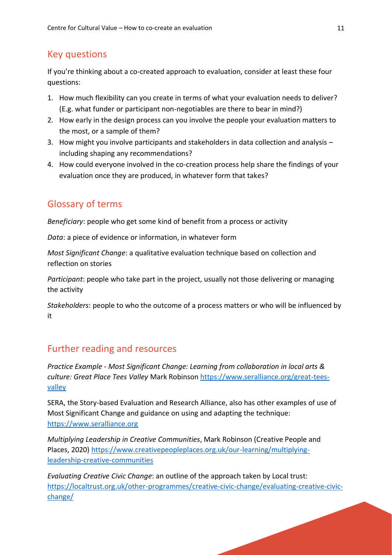# Key questions

If you're thinking about a co-created approach to evaluation, consider at least these four questions:

- 1. How much flexibility can you create in terms of what your evaluation needs to deliver? (E.g. what funder or participant non-negotiables are there to bear in mind?)
- 2. How early in the design process can you involve the people your evaluation matters to the most, or a sample of them?
- 3. How might you involve participants and stakeholders in data collection and analysis including shaping any recommendations?
- 4. How could everyone involved in the co-creation process help share the findings of your evaluation once they are produced, in whatever form that takes?

# Glossary of terms

*Beneficiary*: people who get some kind of benefit from a process or activity

*Data*: a piece of evidence or information, in whatever form

*Most Significant Change*: a qualitative evaluation technique based on collection and reflection on stories

*Participant*: people who take part in the project, usually not those delivering or managing the activity

*Stakeholders*: people to who the outcome of a process matters or who will be influenced by it

## Further reading and resources

*Practice Example - Most Significant Change: Learning from collaboration in local arts & culture: Great Place Tees Valley* Mark Robinson [https://www.seralliance.org/great-tees](https://www.seralliance.org/great-tees-valley)[valley](https://www.seralliance.org/great-tees-valley)

SERA, the Story-based Evaluation and Research Alliance, also has other examples of use of Most Significant Change and guidance on using and adapting the technique: [https://www.seralliance.org](https://www.seralliance.org/)

*Multiplying Leadership in Creative Communities*, Mark Robinson (Creative People and Places, 2020) [https://www.creativepeopleplaces.org.uk/our-learning/multiplying](https://www.creativepeopleplaces.org.uk/our-learning/multiplying-leadership-creative-communities)[leadership-creative-communities](https://www.creativepeopleplaces.org.uk/our-learning/multiplying-leadership-creative-communities) 

*Evaluating Creative Civic Change*: an outline of the approach taken by Local trust: [https://localtrust.org.uk/other-programmes/creative-civic-change/evaluating-creative-civic](https://localtrust.org.uk/other-programmes/creative-civic-change/evaluating-creative-civic-change/)[change/](https://localtrust.org.uk/other-programmes/creative-civic-change/evaluating-creative-civic-change/)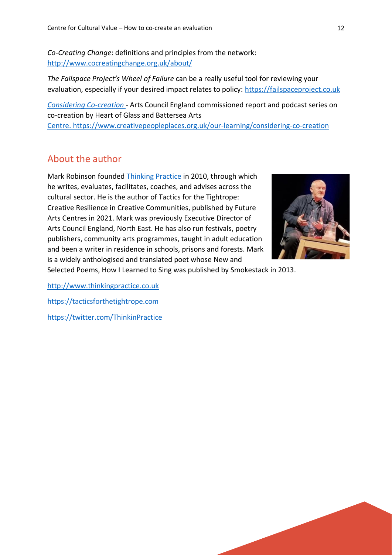*Co-Creating Change*: definitions and principles from the network: <http://www.cocreatingchange.org.uk/about/>

*The Failspace Project's Wheel of Failure* can be a really useful tool for reviewing your evaluation, especially if your desired impact relates to policy: [https://failspaceproject.co.uk](https://failspaceproject.co.uk/)

*[Considering Co-creation](https://www.creativepeopleplaces.org.uk/our-learning/considering-co-creation)* - Arts Council England commissioned report and podcast series on co-creation by Heart of Glass and Battersea Arts Centre. <https://www.creativepeopleplaces.org.uk/our-learning/considering-co-creation>

#### About the author

Mark Robinson founded [Thinking Practice](http://www.thinkingpractice.co.uk/) in 2010, through which he writes, evaluates, facilitates, coaches, and advises across the cultural sector. He is the author of Tactics for the Tightrope: Creative Resilience in Creative Communities, published by Future Arts Centres in 2021. Mark was previously Executive Director of Arts Council England, North East. He has also run festivals, poetry publishers, community arts programmes, taught in adult education and been a writer in residence in schools, prisons and forests. Mark is a widely anthologised and translated poet whose New and



Selected Poems, How I Learned to Sing was published by Smokestack in 2013.

[http://www.thinkingpractice.co.uk](http://www.thinkingpractice.co.uk/)

[https://tacticsforthetightrope.com](https://tacticsforthetightrope.com/)

<https://twitter.com/ThinkinPractice>